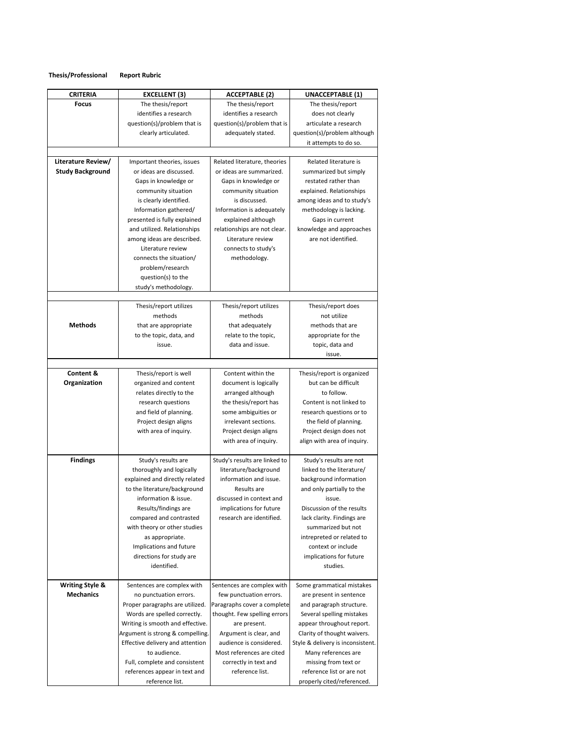## **Thesis/Professional Report Rubric**

| <b>CRITERIA</b>            | <b>EXCELLENT (3)</b>             | <b>ACCEPTABLE (2)</b>         | UNACCEPTABLE (1)                  |
|----------------------------|----------------------------------|-------------------------------|-----------------------------------|
| Focus                      | The thesis/report                | The thesis/report             | The thesis/report                 |
|                            | identifies a research            | identifies a research         | does not clearly                  |
|                            | question(s)/problem that is      | question(s)/problem that is   | articulate a research             |
|                            | clearly articulated.             | adequately stated.            | question(s)/problem although      |
|                            |                                  |                               | it attempts to do so.             |
|                            |                                  |                               |                                   |
| Literature Review/         | Important theories, issues       | Related literature, theories  | Related literature is             |
| <b>Study Background</b>    | or ideas are discussed.          | or ideas are summarized.      | summarized but simply             |
|                            | Gaps in knowledge or             | Gaps in knowledge or          | restated rather than              |
|                            | community situation              | community situation           | explained. Relationships          |
|                            | is clearly identified.           | is discussed.                 | among ideas and to study's        |
|                            | Information gathered/            | Information is adequately     | methodology is lacking.           |
|                            | presented is fully explained     | explained although            | Gaps in current                   |
|                            | and utilized. Relationships      | relationships are not clear.  | knowledge and approaches          |
|                            | among ideas are described.       | Literature review             | are not identified.               |
|                            | Literature review                | connects to study's           |                                   |
|                            | connects the situation/          | methodology.                  |                                   |
|                            | problem/research                 |                               |                                   |
|                            | question(s) to the               |                               |                                   |
|                            | study's methodology.             |                               |                                   |
|                            |                                  |                               |                                   |
|                            | Thesis/report utilizes           | Thesis/report utilizes        | Thesis/report does                |
|                            | methods                          | methods                       | not utilize                       |
| <b>Methods</b>             | that are appropriate             | that adequately               | methods that are                  |
|                            | to the topic, data, and          | relate to the topic,          | appropriate for the               |
|                            | issue.                           | data and issue.               | topic, data and                   |
|                            |                                  |                               | issue.                            |
|                            |                                  |                               |                                   |
| Content &                  | Thesis/report is well            | Content within the            | Thesis/report is organized        |
| Organization               | organized and content            | document is logically         | but can be difficult              |
|                            | relates directly to the          | arranged although             | to follow.                        |
|                            | research questions               | the thesis/report has         | Content is not linked to          |
|                            | and field of planning.           | some ambiguities or           | research questions or to          |
|                            | Project design aligns            | irrelevant sections.          | the field of planning.            |
|                            | with area of inquiry.            | Project design aligns         | Project design does not           |
|                            |                                  | with area of inquiry.         | align with area of inquiry.       |
|                            |                                  |                               |                                   |
| <b>Findings</b>            | Study's results are              | Study's results are linked to | Study's results are not           |
|                            | thoroughly and logically         | literature/background         | linked to the literature/         |
|                            | explained and directly related   | information and issue.        | background information            |
|                            | to the literature/background     | Results are                   | and only partially to the         |
|                            | information & issue.             | discussed in context and      | issue.                            |
|                            | Results/findings are             | implications for future       | Discussion of the results         |
|                            | compared and contrasted          | research are identified.      | lack clarity. Findings are        |
|                            | with theory or other studies     |                               | summarized but not                |
|                            | as appropriate.                  |                               | intrepreted or related to         |
|                            | Implications and future          |                               | context or include                |
|                            | directions for study are         |                               | implications for future           |
|                            | identified.                      |                               | studies.                          |
|                            |                                  |                               |                                   |
| <b>Writing Style &amp;</b> | Sentences are complex with       | Sentences are complex with    | Some grammatical mistakes         |
| <b>Mechanics</b>           | no punctuation errors.           | few punctuation errors.       | are present in sentence           |
|                            | Proper paragraphs are utilized.  | Paragraphs cover a complete   | and paragraph structure.          |
|                            | Words are spelled correctly.     | thought. Few spelling errors  | Several spelling mistakes         |
|                            | Writing is smooth and effective. | are present.                  | appear throughout report.         |
|                            | Argument is strong & compelling. | Argument is clear, and        | Clarity of thought waivers.       |
|                            | Effective delivery and attention | audience is considered.       | Style & delivery is inconsistent. |
|                            | to audience.                     | Most references are cited     | Many references are               |
|                            | Full, complete and consistent    | correctly in text and         | missing from text or              |
|                            | references appear in text and    | reference list.               | reference list or are not         |
|                            | reference list.                  |                               | properly cited/referenced.        |